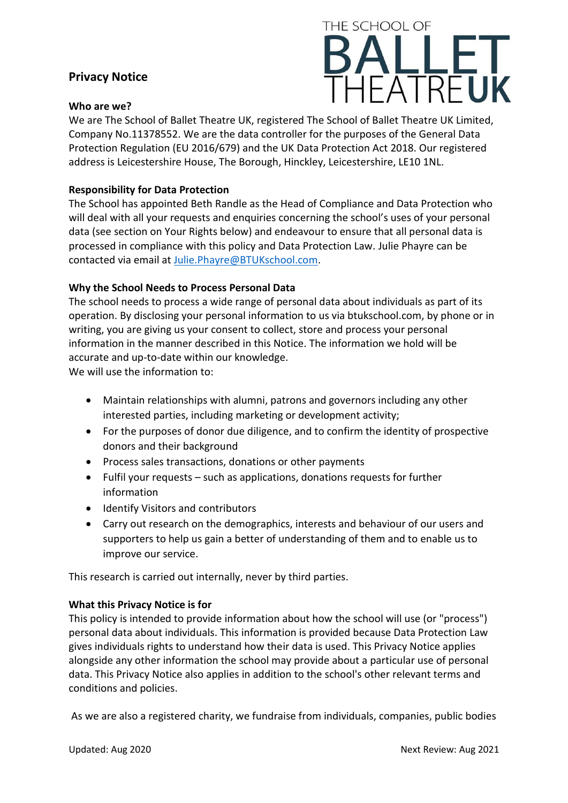# **Privacy Notice**

### **Who are we?**



We are The School of Ballet Theatre UK, registered The School of Ballet Theatre UK Limited, Company No.11378552. We are the data controller for the purposes of the General Data Protection Regulation (EU 2016/679) and the UK Data Protection Act 2018. Our registered address is Leicestershire House, The Borough, Hinckley, Leicestershire, LE10 1NL.

# **Responsibility for Data Protection**

The School has appointed Beth Randle as the Head of Compliance and Data Protection who will deal with all your requests and enquiries concerning the school's uses of your personal data (see section on Your Rights below) and endeavour to ensure that all personal data is processed in compliance with this policy and Data Protection Law. Julie Phayre can be contacted via email at [Julie.Phayre@BTUKschool.com.](mailto:Julie.Phayre@BTUKschool.com)

# **Why the School Needs to Process Personal Data**

The school needs to process a wide range of personal data about individuals as part of its operation. By disclosing your personal information to us via btukschool.com, by phone or in writing, you are giving us your consent to collect, store and process your personal information in the manner described in this Notice. The information we hold will be accurate and up-to-date within our knowledge.

We will use the information to:

- Maintain relationships with alumni, patrons and governors including any other interested parties, including marketing or development activity;
- For the purposes of donor due diligence, and to confirm the identity of prospective donors and their background
- Process sales transactions, donations or other payments
- Fulfil your requests such as applications, donations requests for further information
- Identify Visitors and contributors
- Carry out research on the demographics, interests and behaviour of our users and supporters to help us gain a better of understanding of them and to enable us to improve our service.

This research is carried out internally, never by third parties.

### **What this Privacy Notice is for**

This policy is intended to provide information about how the school will use (or "process") personal data about individuals. This information is provided because Data Protection Law gives individuals rights to understand how their data is used. This Privacy Notice applies alongside any other information the school may provide about a particular use of personal data. This Privacy Notice also applies in addition to the school's other relevant terms and conditions and policies.

As we are also a registered charity, we fundraise from individuals, companies, public bodies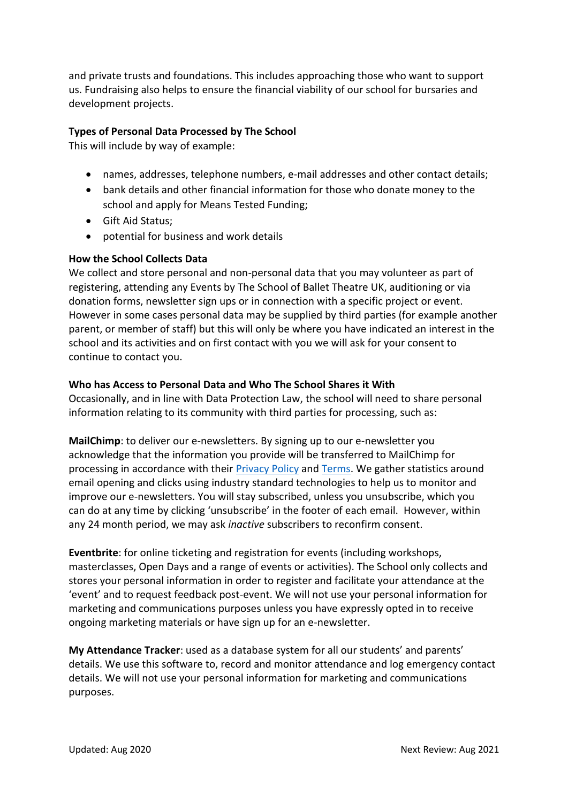and private trusts and foundations. This includes approaching those who want to support us. Fundraising also helps to ensure the financial viability of our school for bursaries and development projects.

# **Types of Personal Data Processed by The School**

This will include by way of example:

- names, addresses, telephone numbers, e-mail addresses and other contact details;
- bank details and other financial information for those who donate money to the school and apply for Means Tested Funding;
- Gift Aid Status;
- potential for business and work details

# **How the School Collects Data**

We collect and store personal and non-personal data that you may volunteer as part of registering, attending any Events by The School of Ballet Theatre UK, auditioning or via donation forms, newsletter sign ups or in connection with a specific project or event. However in some cases personal data may be supplied by third parties (for example another parent, or member of staff) but this will only be where you have indicated an interest in the school and its activities and on first contact with you we will ask for your consent to continue to contact you.

# **Who has Access to Personal Data and Who The School Shares it With**

Occasionally, and in line with Data Protection Law, the school will need to share personal information relating to its community with third parties for processing, such as:

**MailChimp**: to deliver our e-newsletters. By signing up to our e-newsletter you acknowledge that the information you provide will be transferred to MailChimp for processing in accordance with their **[Privacy](https://164.39.188.52/owa/redir.aspx?C=H0o-FsTBskKC5kUuciuLqnQmgNgbxtUIAIS_J7PscmxR7I1uCFGCzKIl7j1ahqJLfEQbTHCuqYQ.&URL=https%3a%2f%2fmailchimp.com%2flegal%2fprivacy%2f) Policy and Terms**. We gather statistics around email opening and clicks using industry standard technologies to help us to monitor and improve our e-newsletters. You will stay subscribed, unless you unsubscribe, which you can do at any time by clicking 'unsubscribe' in the footer of each email. However, within any 24 month period, we may ask *inactive* subscribers to reconfirm consent.

**Eventbrite**: for online ticketing and registration for events (including workshops, masterclasses, Open Days and a range of events or activities). The School only collects and stores your personal information in order to register and facilitate your attendance at the 'event' and to request feedback post-event. We will not use your personal information for marketing and communications purposes unless you have expressly opted in to receive ongoing marketing materials or have sign up for an e-newsletter.

**My Attendance Tracker**: used as a database system for all our students' and parents' details. We use this software to, record and monitor attendance and log emergency contact details. We will not use your personal information for marketing and communications purposes.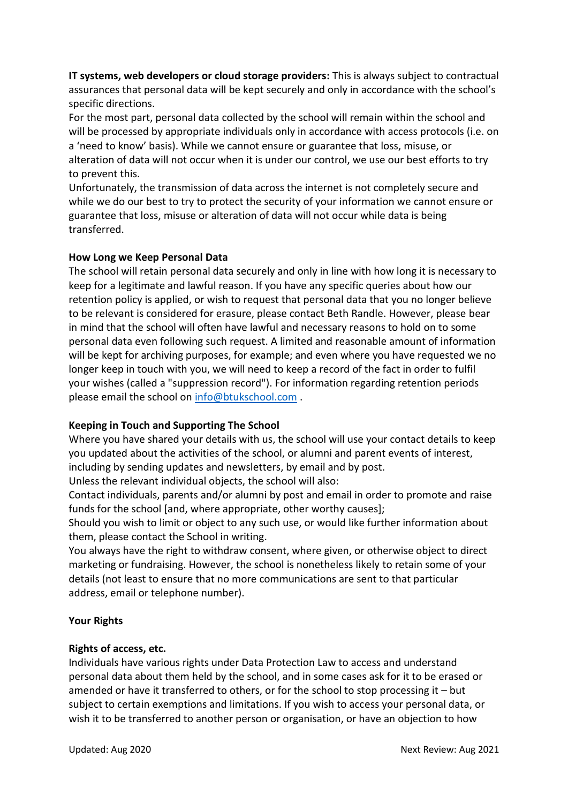**IT systems, web developers or cloud storage providers:** This is always subject to contractual assurances that personal data will be kept securely and only in accordance with the school's specific directions.

For the most part, personal data collected by the school will remain within the school and will be processed by appropriate individuals only in accordance with access protocols (i.e. on a 'need to know' basis). While we cannot ensure or guarantee that loss, misuse, or alteration of data will not occur when it is under our control, we use our best efforts to try to prevent this.

Unfortunately, the transmission of data across the internet is not completely secure and while we do our best to try to protect the security of your information we cannot ensure or guarantee that loss, misuse or alteration of data will not occur while data is being transferred.

# **How Long we Keep Personal Data**

The school will retain personal data securely and only in line with how long it is necessary to keep for a legitimate and lawful reason. If you have any specific queries about how our retention policy is applied, or wish to request that personal data that you no longer believe to be relevant is considered for erasure, please contact Beth Randle. However, please bear in mind that the school will often have lawful and necessary reasons to hold on to some personal data even following such request. A limited and reasonable amount of information will be kept for archiving purposes, for example; and even where you have requested we no longer keep in touch with you, we will need to keep a record of the fact in order to fulfil your wishes (called a "suppression record"). For information regarding retention periods please email the school on [info@btukschool.com](mailto:info@btukschool.com).

# **Keeping in Touch and Supporting The School**

Where you have shared your details with us, the school will use your contact details to keep you updated about the activities of the school, or alumni and parent events of interest, including by sending updates and newsletters, by email and by post.

Unless the relevant individual objects, the school will also:

Contact individuals, parents and/or alumni by post and email in order to promote and raise funds for the school [and, where appropriate, other worthy causes];

Should you wish to limit or object to any such use, or would like further information about them, please contact the School in writing.

You always have the right to withdraw consent, where given, or otherwise object to direct marketing or fundraising. However, the school is nonetheless likely to retain some of your details (not least to ensure that no more communications are sent to that particular address, email or telephone number).

### **Your Rights**

### **Rights of access, etc.**

Individuals have various rights under Data Protection Law to access and understand personal data about them held by the school, and in some cases ask for it to be erased or amended or have it transferred to others, or for the school to stop processing it – but subject to certain exemptions and limitations. If you wish to access your personal data, or wish it to be transferred to another person or organisation, or have an objection to how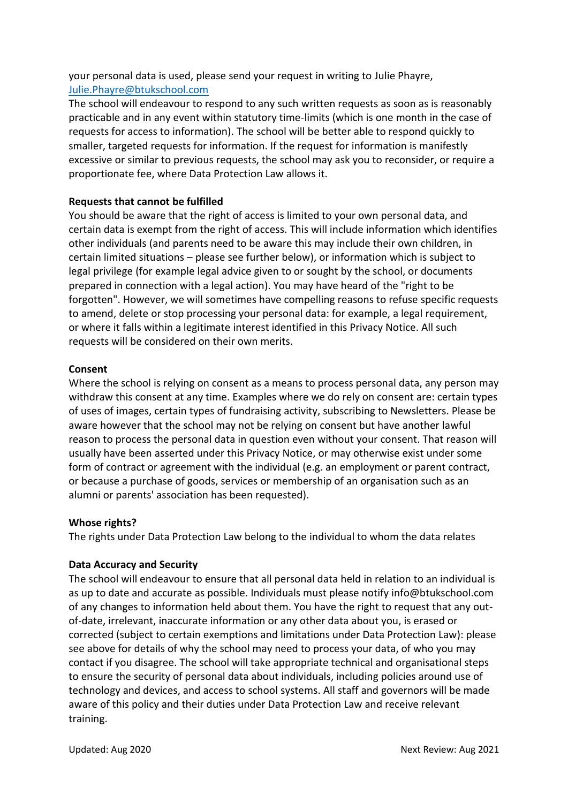your personal data is used, please send your request in writing to Julie Phayre, [Julie.Phayre@btukschool.com](mailto:Julie.Phayre@btukschool.com)

The school will endeavour to respond to any such written requests as soon as is reasonably practicable and in any event within statutory time-limits (which is one month in the case of requests for access to information). The school will be better able to respond quickly to smaller, targeted requests for information. If the request for information is manifestly excessive or similar to previous requests, the school may ask you to reconsider, or require a proportionate fee, where Data Protection Law allows it.

### **Requests that cannot be fulfilled**

You should be aware that the right of access is limited to your own personal data, and certain data is exempt from the right of access. This will include information which identifies other individuals (and parents need to be aware this may include their own children, in certain limited situations – please see further below), or information which is subject to legal privilege (for example legal advice given to or sought by the school, or documents prepared in connection with a legal action). You may have heard of the "right to be forgotten". However, we will sometimes have compelling reasons to refuse specific requests to amend, delete or stop processing your personal data: for example, a legal requirement, or where it falls within a legitimate interest identified in this Privacy Notice. All such requests will be considered on their own merits.

### **Consent**

Where the school is relying on consent as a means to process personal data, any person may withdraw this consent at any time. Examples where we do rely on consent are: certain types of uses of images, certain types of fundraising activity, subscribing to Newsletters. Please be aware however that the school may not be relying on consent but have another lawful reason to process the personal data in question even without your consent. That reason will usually have been asserted under this Privacy Notice, or may otherwise exist under some form of contract or agreement with the individual (e.g. an employment or parent contract, or because a purchase of goods, services or membership of an organisation such as an alumni or parents' association has been requested).

### **Whose rights?**

The rights under Data Protection Law belong to the individual to whom the data relates

### **Data Accuracy and Security**

The school will endeavour to ensure that all personal data held in relation to an individual is as up to date and accurate as possible. Individuals must please notify info@btukschool.com of any changes to information held about them. You have the right to request that any outof-date, irrelevant, inaccurate information or any other data about you, is erased or corrected (subject to certain exemptions and limitations under Data Protection Law): please see above for details of why the school may need to process your data, of who you may contact if you disagree. The school will take appropriate technical and organisational steps to ensure the security of personal data about individuals, including policies around use of technology and devices, and access to school systems. All staff and governors will be made aware of this policy and their duties under Data Protection Law and receive relevant training.